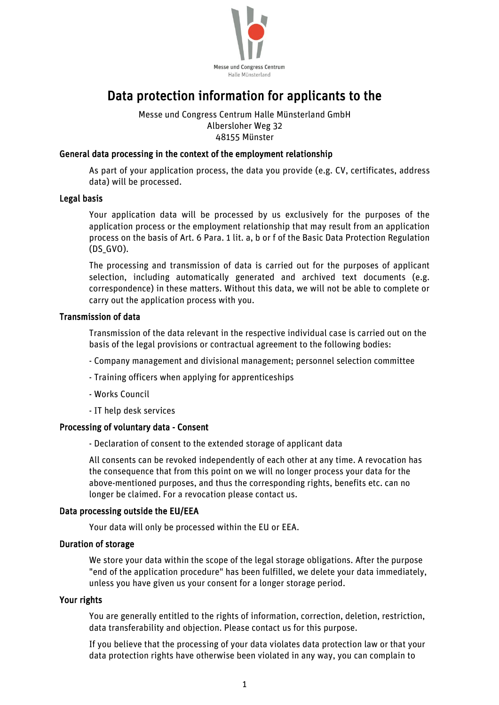

# Data protection information for applicants to the

Messe und Congress Centrum Halle Münsterland GmbH Albersloher Weg 32 48155 Münster

## General data processing in the context of the employment relationship

As part of your application process, the data you provide (e.g. CV, certificates, address data) will be processed.

#### Legal basis

Your application data will be processed by us exclusively for the purposes of the application process or the employment relationship that may result from an application process on the basis of Art. 6 Para. 1 lit. a, b or f of the Basic Data Protection Regulation (DS\_GVO).

The processing and transmission of data is carried out for the purposes of applicant selection, including automatically generated and archived text documents (e.g. correspondence) in these matters. Without this data, we will not be able to complete or carry out the application process with you.

### Transmission of data

Transmission of the data relevant in the respective individual case is carried out on the basis of the legal provisions or contractual agreement to the following bodies:

- Company management and divisional management; personnel selection committee
- Training officers when applying for apprenticeships
- Works Council
- IT help desk services

#### Processing of voluntary data - Consent

- Declaration of consent to the extended storage of applicant data

All consents can be revoked independently of each other at any time. A revocation has the consequence that from this point on we will no longer process your data for the above-mentioned purposes, and thus the corresponding rights, benefits etc. can no longer be claimed. For a revocation please contact us.

#### Data processing outside the EU/EEA

Your data will only be processed within the EU or EEA.

#### Duration of storage

We store your data within the scope of the legal storage obligations. After the purpose "end of the application procedure" has been fulfilled, we delete your data immediately, unless you have given us your consent for a longer storage period.

## Your rights

You are generally entitled to the rights of information, correction, deletion, restriction, data transferability and objection. Please contact us for this purpose.

If you believe that the processing of your data violates data protection law or that your data protection rights have otherwise been violated in any way, you can complain to